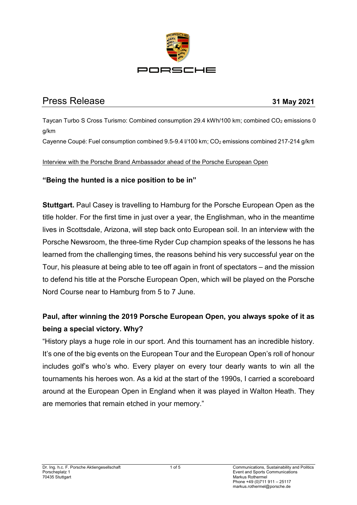

# Press Release **31 May 2021**

Taycan Turbo S Cross Turismo: Combined consumption 29.4 kWh/100 km; combined  $CO<sub>2</sub>$  emissions 0 g/km

Cayenne Coupé: Fuel consumption combined 9.5-9.4 I/100 km; CO<sub>2</sub> emissions combined 217-214 g/km

#### Interview with the Porsche Brand Ambassador ahead of the Porsche European Open

### **"Being the hunted is a nice position to be in"**

**Stuttgart.** Paul Casey is travelling to Hamburg for the Porsche European Open as the title holder. For the first time in just over a year, the Englishman, who in the meantime lives in Scottsdale, Arizona, will step back onto European soil. In an interview with the Porsche Newsroom, the three-time Ryder Cup champion speaks of the lessons he has learned from the challenging times, the reasons behind his very successful year on the Tour, his pleasure at being able to tee off again in front of spectators – and the mission to defend his title at the Porsche European Open, which will be played on the Porsche Nord Course near to Hamburg from 5 to 7 June.

## **Paul, after winning the 2019 Porsche European Open, you always spoke of it as being a special victory. Why?**

"History plays a huge role in our sport. And this tournament has an incredible history. It's one of the big events on the European Tour and the European Open's roll of honour includes golf's who's who. Every player on every tour dearly wants to win all the tournaments his heroes won. As a kid at the start of the 1990s, I carried a scoreboard around at the European Open in England when it was played in Walton Heath. They are memories that remain etched in your memory."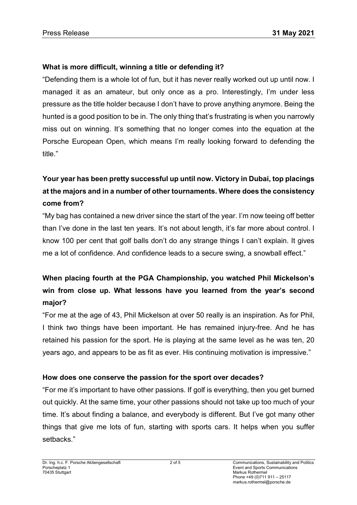## **What is more difficult, winning a title or defending it?**

"Defending them is a whole lot of fun, but it has never really worked out up until now. I managed it as an amateur, but only once as a pro. Interestingly, I'm under less pressure as the title holder because I don't have to prove anything anymore. Being the hunted is a good position to be in. The only thing that's frustrating is when you narrowly miss out on winning. It's something that no longer comes into the equation at the Porsche European Open, which means I'm really looking forward to defending the title."

# **Your year has been pretty successful up until now. Victory in Dubai, top placings at the majors and in a number of other tournaments. Where does the consistency come from?**

"My bag has contained a new driver since the start of the year. I'm now teeing off better than I've done in the last ten years. It's not about length, it's far more about control. I know 100 per cent that golf balls don't do any strange things I can't explain. It gives me a lot of confidence. And confidence leads to a secure swing, a snowball effect."

# **When placing fourth at the PGA Championship, you watched Phil Mickelson's win from close up. What lessons have you learned from the year's second major?**

"For me at the age of 43, Phil Mickelson at over 50 really is an inspiration. As for Phil, I think two things have been important. He has remained injury-free. And he has retained his passion for the sport. He is playing at the same level as he was ten, 20 years ago, and appears to be as fit as ever. His continuing motivation is impressive."

#### **How does one conserve the passion for the sport over decades?**

"For me it's important to have other passions. If golf is everything, then you get burned out quickly. At the same time, your other passions should not take up too much of your time. It's about finding a balance, and everybody is different. But I've got many other things that give me lots of fun, starting with sports cars. It helps when you suffer setbacks."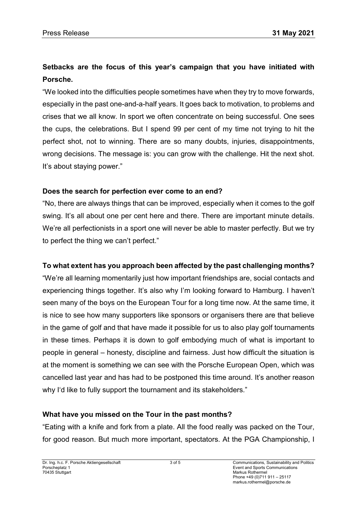# **Setbacks are the focus of this year's campaign that you have initiated with Porsche.**

"We looked into the difficulties people sometimes have when they try to move forwards, especially in the past one-and-a-half years. It goes back to motivation, to problems and crises that we all know. In sport we often concentrate on being successful. One sees the cups, the celebrations. But I spend 99 per cent of my time not trying to hit the perfect shot, not to winning. There are so many doubts, injuries, disappointments, wrong decisions. The message is: you can grow with the challenge. Hit the next shot. It's about staying power."

### **Does the search for perfection ever come to an end?**

"No, there are always things that can be improved, especially when it comes to the golf swing. It's all about one per cent here and there. There are important minute details. We're all perfectionists in a sport one will never be able to master perfectly. But we try to perfect the thing we can't perfect."

## **To what extent has you approach been affected by the past challenging months?**

"We're all learning momentarily just how important friendships are, social contacts and experiencing things together. It's also why I'm looking forward to Hamburg. I haven't seen many of the boys on the European Tour for a long time now. At the same time, it is nice to see how many supporters like sponsors or organisers there are that believe in the game of golf and that have made it possible for us to also play golf tournaments in these times. Perhaps it is down to golf embodying much of what is important to people in general – honesty, discipline and fairness. Just how difficult the situation is at the moment is something we can see with the Porsche European Open, which was cancelled last year and has had to be postponed this time around. It's another reason why I'd like to fully support the tournament and its stakeholders."

## **What have you missed on the Tour in the past months?**

"Eating with a knife and fork from a plate. All the food really was packed on the Tour, for good reason. But much more important, spectators. At the PGA Championship, I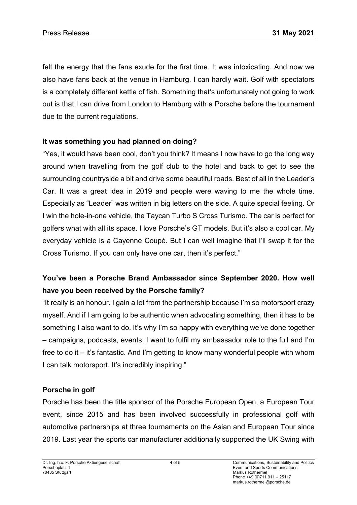felt the energy that the fans exude for the first time. It was intoxicating. And now we also have fans back at the venue in Hamburg. I can hardly wait. Golf with spectators is a completely different kettle of fish. Something that's unfortunately not going to work out is that I can drive from London to Hamburg with a Porsche before the tournament due to the current regulations.

## **It was something you had planned on doing?**

"Yes, it would have been cool, don't you think? It means I now have to go the long way around when travelling from the golf club to the hotel and back to get to see the surrounding countryside a bit and drive some beautiful roads. Best of all in the Leader's Car. It was a great idea in 2019 and people were waving to me the whole time. Especially as "Leader" was written in big letters on the side. A quite special feeling. Or I win the hole-in-one vehicle, the Taycan Turbo S Cross Turismo. The car is perfect for golfers what with all its space. I love Porsche's GT models. But it's also a cool car. My everyday vehicle is a Cayenne Coupé. But I can well imagine that I'll swap it for the Cross Turismo. If you can only have one car, then it's perfect."

## **You've been a Porsche Brand Ambassador since September 2020. How well have you been received by the Porsche family?**

"It really is an honour. I gain a lot from the partnership because I'm so motorsport crazy myself. And if I am going to be authentic when advocating something, then it has to be something I also want to do. It's why I'm so happy with everything we've done together – campaigns, podcasts, events. I want to fulfil my ambassador role to the full and I'm free to do it – it's fantastic. And I'm getting to know many wonderful people with whom I can talk motorsport. It's incredibly inspiring."

#### **Porsche in golf**

Porsche has been the title sponsor of the Porsche European Open, a European Tour event, since 2015 and has been involved successfully in professional golf with automotive partnerships at three tournaments on the Asian and European Tour since 2019. Last year the sports car manufacturer additionally supported the UK Swing with